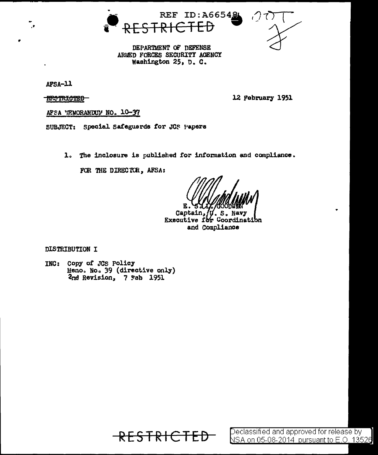



DEPARTMENT OF DEFENSE ARMED FORCES SECURITY AGENCY Washington 25, D. C.

AFSA-11

**RESTRICTED** 

12 February 1951

AFSA MEMORANDUM NO. 10-37

SUBJECT: Special Safeguards for JCS Papers

1. The inclosure is published for information and compliance.

FOR THE DIRECTOR, AFSA:

S **Navt** τ

Captain, Executive for Coordination and Compliance

DISTRIBUTION I

INC: Copy of JCS Policy Memo. No. 39 (directive only) 2nd Revision, 7 Fab 1951

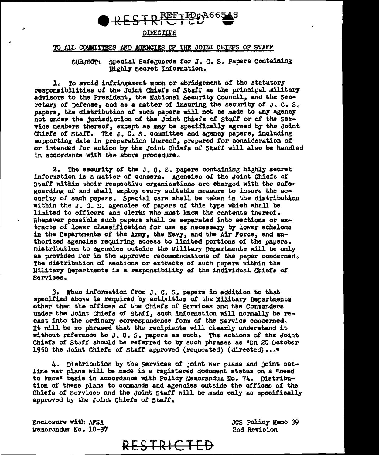

## DIRECTIVE

## TO ALL COMMITTEES AND AGENCIES OF THE JOINT CHIEFS OF STAFF

SUBJECT: Special Safeguards for J. C. S. Papers Containing Highly Secret Information.

1. To avoid infringement upon or abridgement of the statutory responsibilities of the Joint Chiefs of Staff as the principal military advisors to the President, the National Security Council, and the Secretary of pefense, and as a matter of insuring the security of J. C. S. papers, the distribution of such papers will not be made to any agency not under the jurisdiction of the Joint Chiefs of Staff or of the Service members thereof, except as may be specifically agreed by the Joint Chiefs of Staff. The J. C. S. committee and agency papers, including supporting data in preparation thereof, prepared for consideration of or intended for action by the Joint Chiefs of Staff will also be handled in accordance with the above procedure.

2. The security of the J. C. S. papers containing highly secret information is a matter of concern. Agencies of the Joint Chiefs of Staff within their respective organizations are charged with the safeguarding of and shall employ every suitable measure to insure the security of such papers. Special care shall be taken in the distribution within the J. C. S. agencies of papers of this type which shall be limited to officers and clerks who must know the contents thereof. Whenever possible such papers shall be separated into sections or extracts of lower classification for use as necessary by lower echelons in the Departments of the Army, the Navy, and the Air Force, and authorized agencies requiring access to limited portions of the papers. Distribution to agencies outside the Military Departments will be only as provided for in the approved recommendations of the paper concerned. The distribution of sections or extracts of such papers within the Military Departments is a responsibility of the individual Chiefs of Services.

3. When information from J. C. S. papers in addition to that specified above is required by activities of the Military Departments other than the offices of the Chiefs of Services and the Commanders under the Joint Chiefs of Staff, such information will normally be recast into the ordinary correspondence form of the Service concerned. It will be so phrased that the recipients will clearly understand it without reference to J. C. S. papers as such. The actions of the Joint Chiefs of Staff should be referred to by such phrases as "On 20 October 1950 the Joint Chiefs of Staff approved (requested) (directed)..."

4. Distribution by the Services of joint war plans and joint outline war plans will be made in a registered document status on a "need to know" basis in accordance with Policy Memorandua No. 74. Distribution of these plans to commands and agencies outside the offices of the Chiefs of Services and the Joint Staff will be made only as specifically approved by the Joint Chiefs of Staff.

Enclosure with AFSA Memorandum No. 10-37 JCS Policy Memo 39 2nd Revision

RESTRICTED